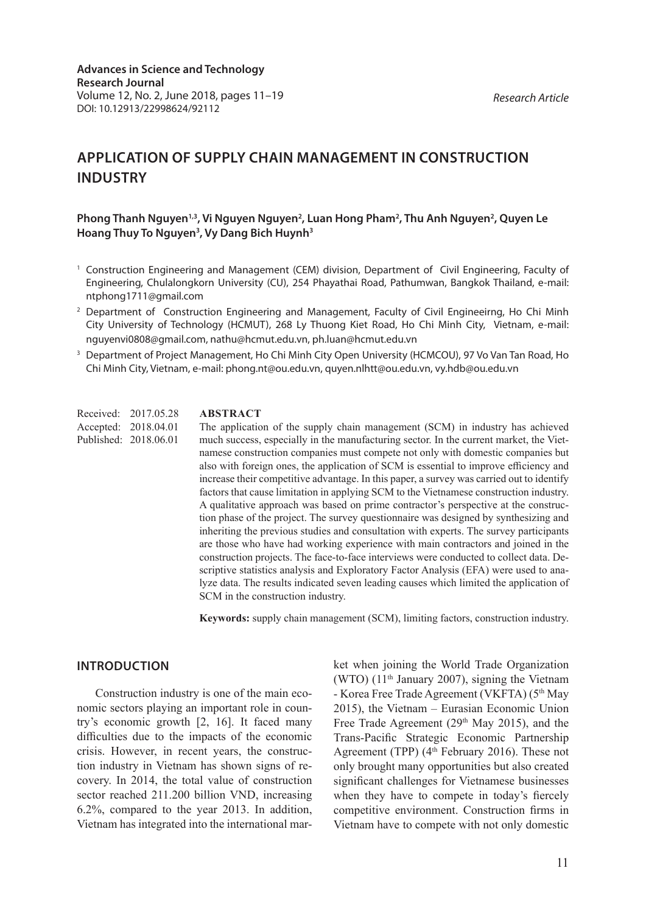*Research Article*

# **APPLICATION OF SUPPLY CHAIN MANAGEMENT IN CONSTRUCTION INDUSTRY**

#### Phong Thanh Nguyen<sup>1,3</sup>, Vi Nguyen Nguyen<sup>2</sup>, Luan Hong Pham<sup>2</sup>, Thu Anh Nguyen<sup>2</sup>, Quyen Le **Hoang Thuy To Nguyen3 , Vy Dang Bich Huynh3**

- <sup>1</sup> Construction Engineering and Management (CEM) division, Department of Civil Engineering, Faculty of Engineering, Chulalongkorn University (CU), 254 Phayathai Road, Pathumwan, Bangkok Thailand, e-mail: ntphong1711@gmail.com
- <sup>2</sup> Department of Construction Engineering and Management, Faculty of Civil Engineeirng, Ho Chi Minh City University of Technology (HCMUT), 268 Ly Thuong Kiet Road, Ho Chi Minh City, Vietnam, e-mail: nguyenvi0808@gmail.com, nathu@hcmut.edu.vn, ph.luan@hcmut.edu.vn
- <sup>3</sup> Department of Project Management, Ho Chi Minh City Open University (HCMCOU), 97 Vo Van Tan Road, Ho Chi Minh City, Vietnam, e-mail: phong.nt@ou.edu.vn, quyen.nlhtt@ou.edu.vn, vy.hdb@ou.edu.vn

Received: 2017.05.28 Accepted: 2018.04.01 Published: 2018.06.01

#### **ABSTRACT**

The application of the supply chain management (SCM) in industry has achieved much success, especially in the manufacturing sector. In the current market, the Vietnamese construction companies must compete not only with domestic companies but also with foreign ones, the application of SCM is essential to improve efficiency and increase their competitive advantage. In this paper, a survey was carried out to identify factors that cause limitation in applying SCM to the Vietnamese construction industry. A qualitative approach was based on prime contractor's perspective at the construction phase of the project. The survey questionnaire was designed by synthesizing and inheriting the previous studies and consultation with experts. The survey participants are those who have had working experience with main contractors and joined in the construction projects. The face-to-face interviews were conducted to collect data. Descriptive statistics analysis and Exploratory Factor Analysis (EFA) were used to analyze data. The results indicated seven leading causes which limited the application of SCM in the construction industry.

**Keywords:** supply chain management (SCM), limiting factors, construction industry.

#### **INTRODUCTION**

Construction industry is one of the main economic sectors playing an important role in country's economic growth [2, 16]. It faced many difficulties due to the impacts of the economic crisis. However, in recent years, the construction industry in Vietnam has shown signs of recovery. In 2014, the total value of construction sector reached 211.200 billion VND, increasing 6.2%, compared to the year 2013. In addition, Vietnam has integrated into the international market when joining the World Trade Organization (WTO)  $(11<sup>th</sup> January 2007)$ , signing the Vietnam - Korea Free Trade Agreement (VKFTA) (5<sup>th</sup> May 2015), the Vietnam – Eurasian Economic Union Free Trade Agreement ( $29<sup>th</sup>$  May 2015), and the Trans-Pacific Strategic Economic Partnership Agreement (TPP)  $(4<sup>th</sup> February 2016)$ . These not only brought many opportunities but also created significant challenges for Vietnamese businesses when they have to compete in today's fiercely competitive environment. Construction firms in Vietnam have to compete with not only domestic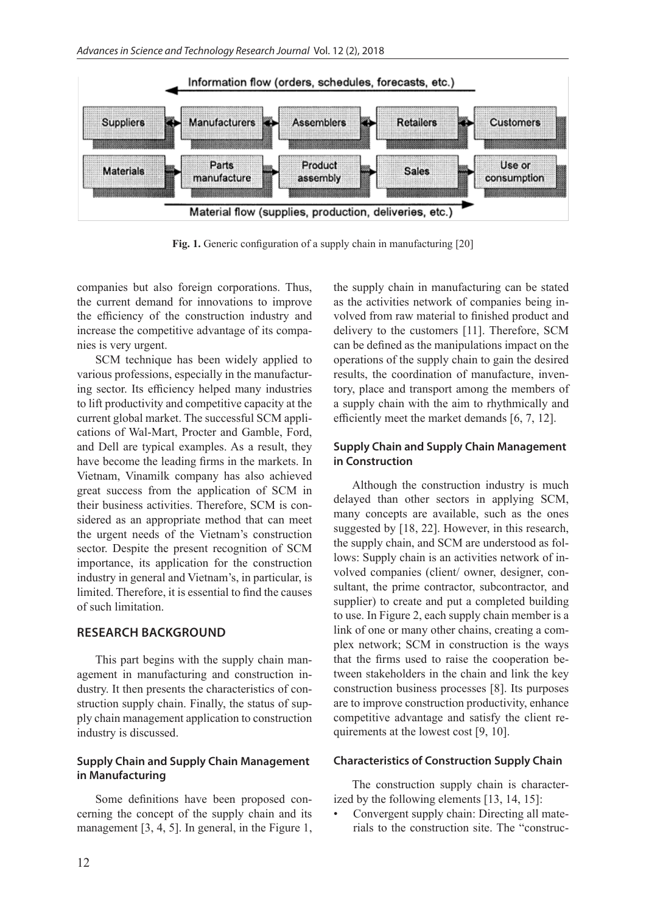

**Fig. 1.** Generic configuration of a supply chain in manufacturing [20]

companies but also foreign corporations. Thus, the current demand for innovations to improve the efficiency of the construction industry and increase the competitive advantage of its companies is very urgent.

SCM technique has been widely applied to various professions, especially in the manufacturing sector. Its efficiency helped many industries to lift productivity and competitive capacity at the current global market. The successful SCM applications of Wal-Mart, Procter and Gamble, Ford, and Dell are typical examples. As a result, they have become the leading firms in the markets. In Vietnam, Vinamilk company has also achieved great success from the application of SCM in their business activities. Therefore, SCM is considered as an appropriate method that can meet the urgent needs of the Vietnam's construction sector. Despite the present recognition of SCM importance, its application for the construction industry in general and Vietnam's, in particular, is limited. Therefore, it is essential to find the causes of such limitation.

#### **RESEARCH BACKGROUND**

This part begins with the supply chain management in manufacturing and construction industry. It then presents the characteristics of construction supply chain. Finally, the status of supply chain management application to construction industry is discussed.

#### **Supply Chain and Supply Chain Management in Manufacturing**

Some definitions have been proposed concerning the concept of the supply chain and its management [3, 4, 5]. In general, in the Figure 1,

the supply chain in manufacturing can be stated as the activities network of companies being involved from raw material to finished product and delivery to the customers [11]. Therefore, SCM can be defined as the manipulations impact on the operations of the supply chain to gain the desired results, the coordination of manufacture, inventory, place and transport among the members of a supply chain with the aim to rhythmically and efficiently meet the market demands [6, 7, 12].

#### **Supply Chain and Supply Chain Management in Construction**

Although the construction industry is much delayed than other sectors in applying SCM, many concepts are available, such as the ones suggested by [18, 22]. However, in this research, the supply chain, and SCM are understood as follows: Supply chain is an activities network of involved companies (client/ owner, designer, consultant, the prime contractor, subcontractor, and supplier) to create and put a completed building to use. In Figure 2, each supply chain member is a link of one or many other chains, creating a complex network; SCM in construction is the ways that the firms used to raise the cooperation between stakeholders in the chain and link the key construction business processes [8]. Its purposes are to improve construction productivity, enhance competitive advantage and satisfy the client requirements at the lowest cost [9, 10].

#### **Characteristics of Construction Supply Chain**

The construction supply chain is characterized by the following elements [13, 14, 15]:

• Convergent supply chain: Directing all materials to the construction site. The "construc-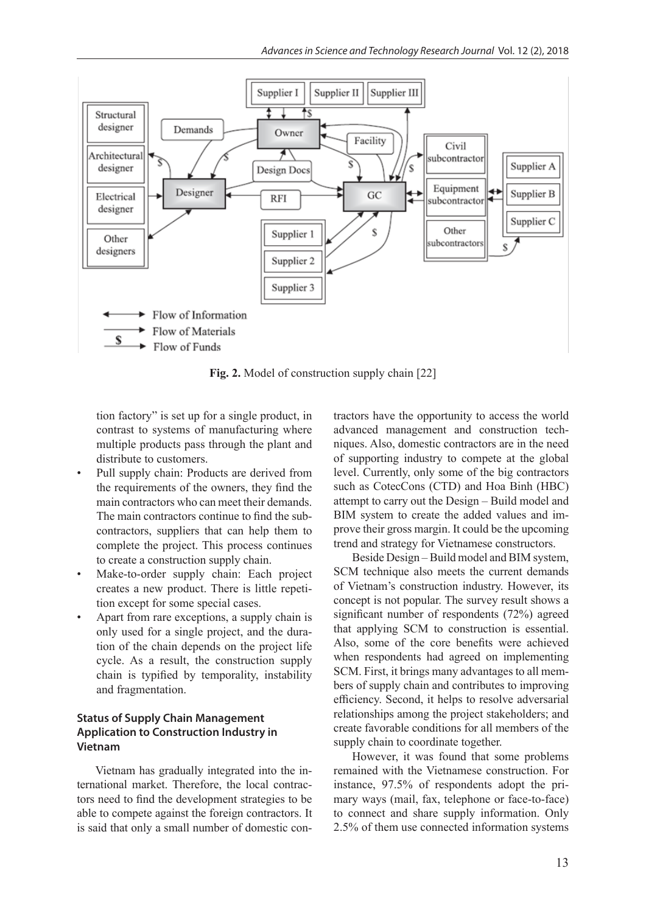

**Fig. 2.** Model of construction supply chain [22]

tion factory" is set up for a single product, in contrast to systems of manufacturing where multiple products pass through the plant and distribute to customers.

- Pull supply chain: Products are derived from the requirements of the owners, they find the main contractors who can meet their demands. The main contractors continue to find the subcontractors, suppliers that can help them to complete the project. This process continues to create a construction supply chain.
- Make-to-order supply chain: Each project creates a new product. There is little repetition except for some special cases.
- Apart from rare exceptions, a supply chain is only used for a single project, and the duration of the chain depends on the project life cycle. As a result, the construction supply chain is typified by temporality, instability and fragmentation.

#### **Status of Supply Chain Management Application to Construction Industry in Vietnam**

Vietnam has gradually integrated into the international market. Therefore, the local contractors need to find the development strategies to be able to compete against the foreign contractors. It is said that only a small number of domestic contractors have the opportunity to access the world advanced management and construction techniques. Also, domestic contractors are in the need of supporting industry to compete at the global level. Currently, only some of the big contractors such as CotecCons (CTD) and Hoa Binh (HBC) attempt to carry out the Design – Build model and BIM system to create the added values and improve their gross margin. It could be the upcoming trend and strategy for Vietnamese constructors.

Beside Design – Build model and BIM system, SCM technique also meets the current demands of Vietnam's construction industry. However, its concept is not popular. The survey result shows a significant number of respondents (72%) agreed that applying SCM to construction is essential. Also, some of the core benefits were achieved when respondents had agreed on implementing SCM. First, it brings many advantages to all members of supply chain and contributes to improving efficiency. Second, it helps to resolve adversarial relationships among the project stakeholders; and create favorable conditions for all members of the supply chain to coordinate together.

However, it was found that some problems remained with the Vietnamese construction. For instance, 97.5% of respondents adopt the primary ways (mail, fax, telephone or face-to-face) to connect and share supply information. Only 2.5% of them use connected information systems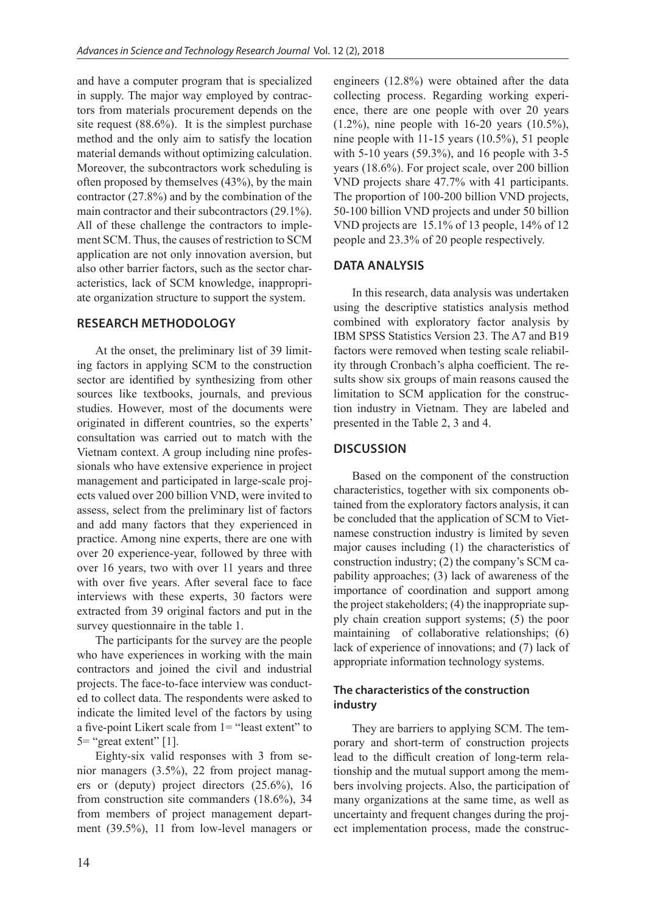and have a computer program that is specialized in supply. The major way employed by contractors from materials procurement depends on the site request (88.6%). It is the simplest purchase method and the only aim to satisfy the location material demands without optimizing calculation. Moreover, the subcontractors work scheduling is often proposed by themselves (43%), by the main contractor (27.8%) and by the combination of the main contractor and their subcontractors (29.1%). All of these challenge the contractors to implement SCM. Thus, the causes of restriction to SCM application are not only innovation aversion, but also other barrier factors, such as the sector characteristics, lack of SCM knowledge, inappropriate organization structure to support the system.

## **RESEARCH METHODOLOGY**

At the onset, the preliminary list of 39 limiting factors in applying SCM to the construction sector are identified by synthesizing from other sources like textbooks, journals, and previous studies. However, most of the documents were originated in different countries, so the experts' consultation was carried out to match with the Vietnam context. A group including nine professionals who have extensive experience in project management and participated in large-scale projects valued over 200 billion VND, were invited to assess, select from the preliminary list of factors and add many factors that they experienced in practice. Among nine experts, there are one with over 20 experience-year, followed by three with over 16 years, two with over 11 years and three with over five years. After several face to face interviews with these experts, 30 factors were extracted from 39 original factors and put in the survey questionnaire in the table 1.

The participants for the survey are the people who have experiences in working with the main contractors and joined the civil and industrial projects. The face-to-face interview was conducted to collect data. The respondents were asked to indicate the limited level of the factors by using a five-point Likert scale from 1= "least extent" to  $5=$  "great extent" [1].

Eighty-six valid responses with 3 from senior managers (3.5%), 22 from project managers or (deputy) project directors (25.6%), 16 from construction site commanders (18.6%), 34 from members of project management department (39.5%), 11 from low-level managers or engineers (12.8%) were obtained after the data collecting process. Regarding working experience, there are one people with over 20 years (1.2%), nine people with 16-20 years (10.5%), nine people with 11-15 years (10.5%), 51 people with 5-10 years (59.3%), and 16 people with 3-5 years (18.6%). For project scale, over 200 billion VND projects share 47.7% with 41 participants. The proportion of 100-200 billion VND projects, 50-100 billion VND projects and under 50 billion VND projects are 15.1% of 13 people, 14% of 12 people and 23.3% of 20 people respectively.

### **DATA ANALYSIS**

In this research, data analysis was undertaken using the descriptive statistics analysis method combined with exploratory factor analysis by IBM SPSS Statistics Version 23. The A7 and B19 factors were removed when testing scale reliability through Cronbach's alpha coefficient. The results show six groups of main reasons caused the limitation to SCM application for the construction industry in Vietnam. They are labeled and presented in the Table 2, 3 and 4.

# **DISCUSSION**

Based on the component of the construction characteristics, together with six components obtained from the exploratory factors analysis, it can be concluded that the application of SCM to Vietnamese construction industry is limited by seven major causes including (1) the characteristics of construction industry; (2) the company's SCM capability approaches; (3) lack of awareness of the importance of coordination and support among the project stakeholders; (4) the inappropriate supply chain creation support systems; (5) the poor maintaining of collaborative relationships; (6) lack of experience of innovations; and (7) lack of appropriate information technology systems.

### **The characteristics of the construction industry**

They are barriers to applying SCM. The temporary and short-term of construction projects lead to the difficult creation of long-term relationship and the mutual support among the members involving projects. Also, the participation of many organizations at the same time, as well as uncertainty and frequent changes during the project implementation process, made the construc-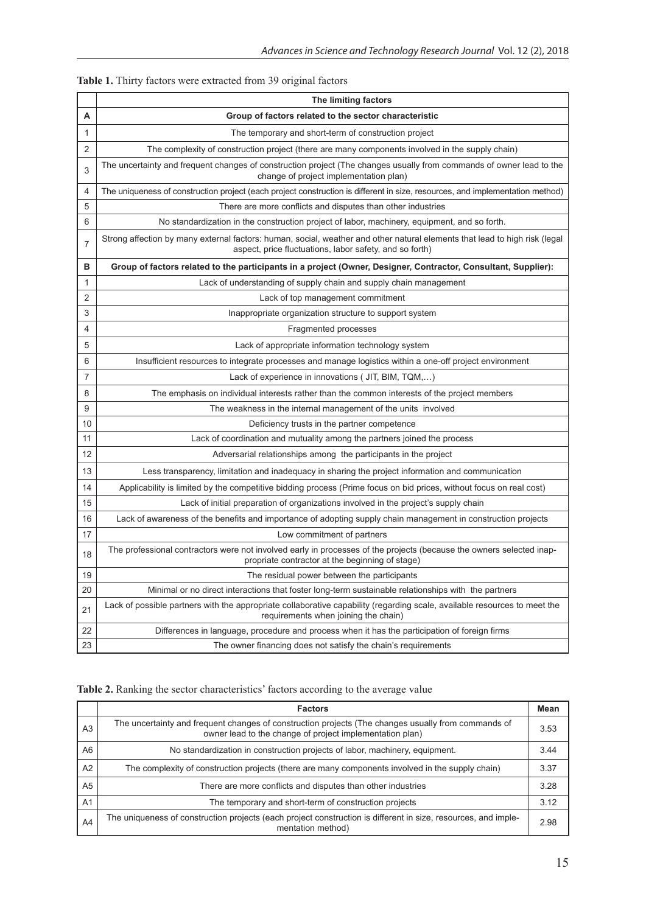|  |  | Table 1. Thirty factors were extracted from 39 original factors |  |
|--|--|-----------------------------------------------------------------|--|
|  |  |                                                                 |  |

|                | The limiting factors                                                                                                                                                                  |  |  |  |
|----------------|---------------------------------------------------------------------------------------------------------------------------------------------------------------------------------------|--|--|--|
| Α              | Group of factors related to the sector characteristic                                                                                                                                 |  |  |  |
| $\mathbf{1}$   | The temporary and short-term of construction project                                                                                                                                  |  |  |  |
| $\overline{2}$ | The complexity of construction project (there are many components involved in the supply chain)                                                                                       |  |  |  |
| 3              | The uncertainty and frequent changes of construction project (The changes usually from commands of owner lead to the<br>change of project implementation plan)                        |  |  |  |
| 4              | The uniqueness of construction project (each project construction is different in size, resources, and implementation method)                                                         |  |  |  |
| 5              | There are more conflicts and disputes than other industries                                                                                                                           |  |  |  |
| 6              | No standardization in the construction project of labor, machinery, equipment, and so forth.                                                                                          |  |  |  |
| $\overline{7}$ | Strong affection by many external factors: human, social, weather and other natural elements that lead to high risk (legal<br>aspect, price fluctuations, labor safety, and so forth) |  |  |  |
| в              | Group of factors related to the participants in a project (Owner, Designer, Contractor, Consultant, Supplier):                                                                        |  |  |  |
| 1              | Lack of understanding of supply chain and supply chain management                                                                                                                     |  |  |  |
| 2              | Lack of top management commitment                                                                                                                                                     |  |  |  |
| 3              | Inappropriate organization structure to support system                                                                                                                                |  |  |  |
| 4              | Fragmented processes                                                                                                                                                                  |  |  |  |
| 5              | Lack of appropriate information technology system                                                                                                                                     |  |  |  |
| 6              | Insufficient resources to integrate processes and manage logistics within a one-off project environment                                                                               |  |  |  |
| $\overline{7}$ | Lack of experience in innovations ( JIT, BIM, TQM,)                                                                                                                                   |  |  |  |
| 8              | The emphasis on individual interests rather than the common interests of the project members                                                                                          |  |  |  |
| 9              | The weakness in the internal management of the units involved                                                                                                                         |  |  |  |
| 10             | Deficiency trusts in the partner competence                                                                                                                                           |  |  |  |
| 11             | Lack of coordination and mutuality among the partners joined the process                                                                                                              |  |  |  |
| 12             | Adversarial relationships among the participants in the project                                                                                                                       |  |  |  |
| 13             | Less transparency, limitation and inadequacy in sharing the project information and communication                                                                                     |  |  |  |
| 14             | Applicability is limited by the competitive bidding process (Prime focus on bid prices, without focus on real cost)                                                                   |  |  |  |
| 15             | Lack of initial preparation of organizations involved in the project's supply chain                                                                                                   |  |  |  |
| 16             | Lack of awareness of the benefits and importance of adopting supply chain management in construction projects                                                                         |  |  |  |
| 17             | Low commitment of partners                                                                                                                                                            |  |  |  |
| 18             | The professional contractors were not involved early in processes of the projects (because the owners selected inap-<br>propriate contractor at the beginning of stage)               |  |  |  |
| 19             | The residual power between the participants                                                                                                                                           |  |  |  |
| 20             | Minimal or no direct interactions that foster long-term sustainable relationships with the partners                                                                                   |  |  |  |
| 21             | Lack of possible partners with the appropriate collaborative capability (regarding scale, available resources to meet the<br>requirements when joining the chain)                     |  |  |  |
| 22             | Differences in language, procedure and process when it has the participation of foreign firms                                                                                         |  |  |  |
| 23             | The owner financing does not satisfy the chain's requirements                                                                                                                         |  |  |  |

# Table 2. Ranking the sector characteristics' factors according to the average value

|                | <b>Factors</b>                                                                                                                                                  | Mean |
|----------------|-----------------------------------------------------------------------------------------------------------------------------------------------------------------|------|
| A <sub>3</sub> | The uncertainty and frequent changes of construction projects (The changes usually from commands of<br>owner lead to the change of project implementation plan) | 3.53 |
| A6             | No standardization in construction projects of labor, machinery, equipment.                                                                                     | 3.44 |
| A2             | The complexity of construction projects (there are many components involved in the supply chain)                                                                | 3.37 |
| A <sub>5</sub> | There are more conflicts and disputes than other industries                                                                                                     | 3.28 |
| A <sub>1</sub> | The temporary and short-term of construction projects                                                                                                           | 3.12 |
| A4             | The uniqueness of construction projects (each project construction is different in size, resources, and imple-<br>mentation method)                             | 2.98 |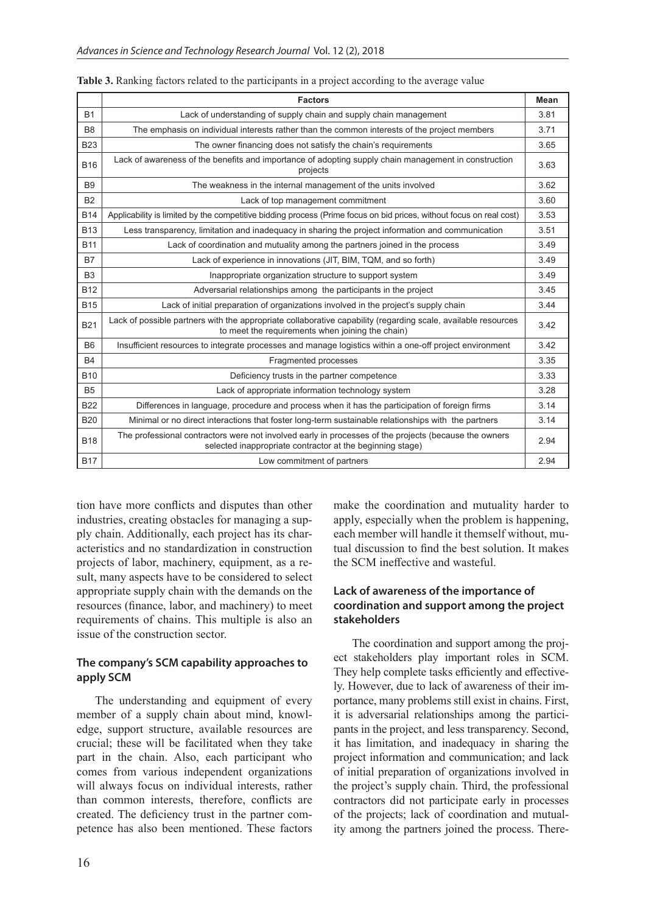|                | <b>Factors</b>                                                                                                                                                     | <b>Mean</b> |
|----------------|--------------------------------------------------------------------------------------------------------------------------------------------------------------------|-------------|
| <b>B1</b>      | Lack of understanding of supply chain and supply chain management                                                                                                  | 3.81        |
| B <sub>8</sub> | The emphasis on individual interests rather than the common interests of the project members                                                                       | 3.71        |
| <b>B23</b>     | The owner financing does not satisfy the chain's requirements                                                                                                      | 3.65        |
| <b>B16</b>     | Lack of awareness of the benefits and importance of adopting supply chain management in construction<br>projects                                                   | 3.63        |
| B <sub>9</sub> | The weakness in the internal management of the units involved                                                                                                      | 3.62        |
| <b>B2</b>      | Lack of top management commitment                                                                                                                                  | 3.60        |
| <b>B14</b>     | Applicability is limited by the competitive bidding process (Prime focus on bid prices, without focus on real cost)                                                | 3.53        |
| <b>B13</b>     | Less transparency, limitation and inadequacy in sharing the project information and communication                                                                  | 3.51        |
| <b>B11</b>     | Lack of coordination and mutuality among the partners joined in the process                                                                                        | 3.49        |
| <b>B7</b>      | Lack of experience in innovations (JIT, BIM, TQM, and so forth)                                                                                                    | 3.49        |
| B <sub>3</sub> | Inappropriate organization structure to support system                                                                                                             | 3.49        |
| <b>B12</b>     | Adversarial relationships among the participants in the project                                                                                                    | 3.45        |
| <b>B15</b>     | Lack of initial preparation of organizations involved in the project's supply chain                                                                                | 3.44        |
| <b>B21</b>     | Lack of possible partners with the appropriate collaborative capability (regarding scale, available resources<br>to meet the requirements when joining the chain)  | 3.42        |
| <b>B6</b>      | Insufficient resources to integrate processes and manage logistics within a one-off project environment                                                            | 3.42        |
| <b>B4</b>      | Fragmented processes                                                                                                                                               | 3.35        |
| <b>B10</b>     | Deficiency trusts in the partner competence                                                                                                                        | 3.33        |
| <b>B5</b>      | Lack of appropriate information technology system                                                                                                                  | 3.28        |
| <b>B22</b>     | Differences in language, procedure and process when it has the participation of foreign firms                                                                      | 3.14        |
| <b>B20</b>     | Minimal or no direct interactions that foster long-term sustainable relationships with the partners                                                                | 3.14        |
| <b>B18</b>     | The professional contractors were not involved early in processes of the projects (because the owners<br>selected inappropriate contractor at the beginning stage) | 2.94        |
| <b>B17</b>     | Low commitment of partners                                                                                                                                         | 2.94        |

tion have more conflicts and disputes than other industries, creating obstacles for managing a supply chain. Additionally, each project has its characteristics and no standardization in construction projects of labor, machinery, equipment, as a result, many aspects have to be considered to select appropriate supply chain with the demands on the resources (finance, labor, and machinery) to meet requirements of chains. This multiple is also an issue of the construction sector.

#### **The company's SCM capability approaches to apply SCM**

The understanding and equipment of every member of a supply chain about mind, knowledge, support structure, available resources are crucial; these will be facilitated when they take part in the chain. Also, each participant who comes from various independent organizations will always focus on individual interests, rather than common interests, therefore, conflicts are created. The deficiency trust in the partner competence has also been mentioned. These factors make the coordination and mutuality harder to apply, especially when the problem is happening, each member will handle it themself without, mutual discussion to find the best solution. It makes the SCM ineffective and wasteful.

#### **Lack of awareness of the importance of coordination and support among the project stakeholders**

The coordination and support among the project stakeholders play important roles in SCM. They help complete tasks efficiently and effectively. However, due to lack of awareness of their importance, many problems still exist in chains. First, it is adversarial relationships among the participants in the project, and less transparency. Second, it has limitation, and inadequacy in sharing the project information and communication; and lack of initial preparation of organizations involved in the project's supply chain. Third, the professional contractors did not participate early in processes of the projects; lack of coordination and mutuality among the partners joined the process. There-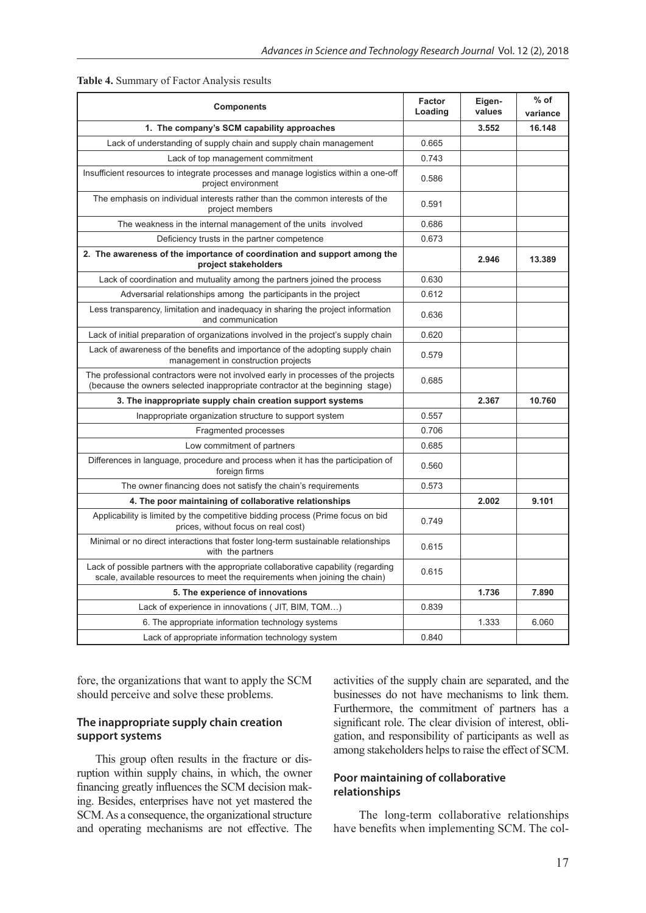| <b>Components</b>                                                                                                                                                  | Factor<br>Loading | Eigen-<br>values | % of<br>variance |
|--------------------------------------------------------------------------------------------------------------------------------------------------------------------|-------------------|------------------|------------------|
| 1. The company's SCM capability approaches                                                                                                                         |                   | 3.552            | 16.148           |
| Lack of understanding of supply chain and supply chain management                                                                                                  | 0.665             |                  |                  |
| Lack of top management commitment                                                                                                                                  | 0.743             |                  |                  |
| Insufficient resources to integrate processes and manage logistics within a one-off<br>project environment                                                         | 0.586             |                  |                  |
| The emphasis on individual interests rather than the common interests of the<br>project members                                                                    | 0.591             |                  |                  |
| The weakness in the internal management of the units involved                                                                                                      | 0.686             |                  |                  |
| Deficiency trusts in the partner competence                                                                                                                        | 0.673             |                  |                  |
| 2. The awareness of the importance of coordination and support among the<br>project stakeholders                                                                   |                   | 2.946            | 13.389           |
| Lack of coordination and mutuality among the partners joined the process                                                                                           | 0.630             |                  |                  |
| Adversarial relationships among the participants in the project                                                                                                    | 0.612             |                  |                  |
| Less transparency, limitation and inadequacy in sharing the project information<br>and communication                                                               | 0.636             |                  |                  |
| Lack of initial preparation of organizations involved in the project's supply chain                                                                                | 0.620             |                  |                  |
| Lack of awareness of the benefits and importance of the adopting supply chain<br>management in construction projects                                               | 0.579             |                  |                  |
| The professional contractors were not involved early in processes of the projects<br>(because the owners selected inappropriate contractor at the beginning stage) | 0.685             |                  |                  |
| 3. The inappropriate supply chain creation support systems                                                                                                         |                   | 2.367            | 10.760           |
| Inappropriate organization structure to support system                                                                                                             | 0.557             |                  |                  |
| Fragmented processes                                                                                                                                               | 0.706             |                  |                  |
| Low commitment of partners                                                                                                                                         | 0.685             |                  |                  |
| Differences in language, procedure and process when it has the participation of<br>foreign firms                                                                   | 0.560             |                  |                  |
| The owner financing does not satisfy the chain's requirements                                                                                                      | 0.573             |                  |                  |
| 4. The poor maintaining of collaborative relationships                                                                                                             |                   | 2.002            | 9.101            |
| Applicability is limited by the competitive bidding process (Prime focus on bid<br>prices, without focus on real cost)                                             | 0.749             |                  |                  |
| Minimal or no direct interactions that foster long-term sustainable relationships<br>with the partners                                                             | 0.615             |                  |                  |
| Lack of possible partners with the appropriate collaborative capability (regarding<br>scale, available resources to meet the requirements when joining the chain)  | 0.615             |                  |                  |
| 5. The experience of innovations                                                                                                                                   |                   | 1.736            | 7.890            |
| Lack of experience in innovations ( JIT, BIM, TQM)                                                                                                                 | 0.839             |                  |                  |
| 6. The appropriate information technology systems                                                                                                                  |                   | 1.333            | 6.060            |
| Lack of appropriate information technology system                                                                                                                  | 0.840             |                  |                  |

|  | <b>Table 4.</b> Summary of Factor Analysis results |  |
|--|----------------------------------------------------|--|
|  |                                                    |  |

fore, the organizations that want to apply the SCM should perceive and solve these problems.

#### **The inappropriate supply chain creation support systems**

This group often results in the fracture or disruption within supply chains, in which, the owner financing greatly influences the SCM decision making. Besides, enterprises have not yet mastered the SCM. As a consequence, the organizational structure and operating mechanisms are not effective. The

activities of the supply chain are separated, and the businesses do not have mechanisms to link them. Furthermore, the commitment of partners has a significant role. The clear division of interest, obligation, and responsibility of participants as well as among stakeholders helps to raise the effect of SCM.

#### **Poor maintaining of collaborative relationships**

The long-term collaborative relationships have benefits when implementing SCM. The col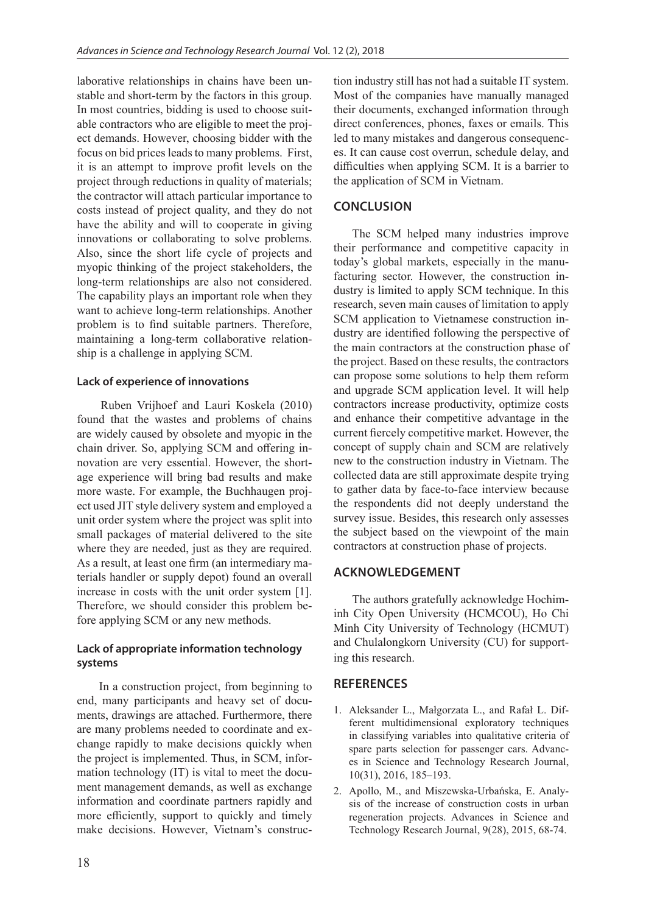laborative relationships in chains have been unstable and short-term by the factors in this group. In most countries, bidding is used to choose suitable contractors who are eligible to meet the project demands. However, choosing bidder with the focus on bid prices leads to many problems. First, it is an attempt to improve profit levels on the project through reductions in quality of materials; the contractor will attach particular importance to costs instead of project quality, and they do not have the ability and will to cooperate in giving innovations or collaborating to solve problems. Also, since the short life cycle of projects and myopic thinking of the project stakeholders, the long-term relationships are also not considered. The capability plays an important role when they want to achieve long-term relationships. Another problem is to find suitable partners. Therefore, maintaining a long-term collaborative relationship is a challenge in applying SCM.

#### **Lack of experience of innovations**

Ruben Vrijhoef and Lauri Koskela (2010) found that the wastes and problems of chains are widely caused by obsolete and myopic in the chain driver. So, applying SCM and offering innovation are very essential. However, the shortage experience will bring bad results and make more waste. For example, the Buchhaugen project used JIT style delivery system and employed a unit order system where the project was split into small packages of material delivered to the site where they are needed, just as they are required. As a result, at least one firm (an intermediary materials handler or supply depot) found an overall increase in costs with the unit order system [1]. Therefore, we should consider this problem before applying SCM or any new methods.

#### **Lack of appropriate information technology systems**

In a construction project, from beginning to end, many participants and heavy set of documents, drawings are attached. Furthermore, there are many problems needed to coordinate and exchange rapidly to make decisions quickly when the project is implemented. Thus, in SCM, information technology (IT) is vital to meet the document management demands, as well as exchange information and coordinate partners rapidly and more efficiently, support to quickly and timely make decisions. However, Vietnam's construction industry still has not had a suitable IT system. Most of the companies have manually managed their documents, exchanged information through direct conferences, phones, faxes or emails. This led to many mistakes and dangerous consequences. It can cause cost overrun, schedule delay, and difficulties when applying SCM. It is a barrier to the application of SCM in Vietnam.

# **CONCLUSION**

The SCM helped many industries improve their performance and competitive capacity in today's global markets, especially in the manufacturing sector. However, the construction industry is limited to apply SCM technique. In this research, seven main causes of limitation to apply SCM application to Vietnamese construction industry are identified following the perspective of the main contractors at the construction phase of the project. Based on these results, the contractors can propose some solutions to help them reform and upgrade SCM application level. It will help contractors increase productivity, optimize costs and enhance their competitive advantage in the current fiercely competitive market. However, the concept of supply chain and SCM are relatively new to the construction industry in Vietnam. The collected data are still approximate despite trying to gather data by face-to-face interview because the respondents did not deeply understand the survey issue. Besides, this research only assesses the subject based on the viewpoint of the main contractors at construction phase of projects.

# **ACKNOWLEDGEMENT**

The authors gratefully acknowledge Hochiminh City Open University (HCMCOU), Ho Chi Minh City University of Technology (HCMUT) and Chulalongkorn University (CU) for supporting this research.

# **REFERENCES**

- 1. Aleksander L., Małgorzata L., and Rafał L. Different multidimensional exploratory techniques in classifying variables into qualitative criteria of spare parts selection for passenger cars. Advances in Science and Technology Research Journal, 10(31), 2016, 185–193.
- 2. Apollo, M., and Miszewska-Urbańska, E. Analysis of the increase of construction costs in urban regeneration projects. Advances in Science and Technology Research Journal, 9(28), 2015, 68-74.